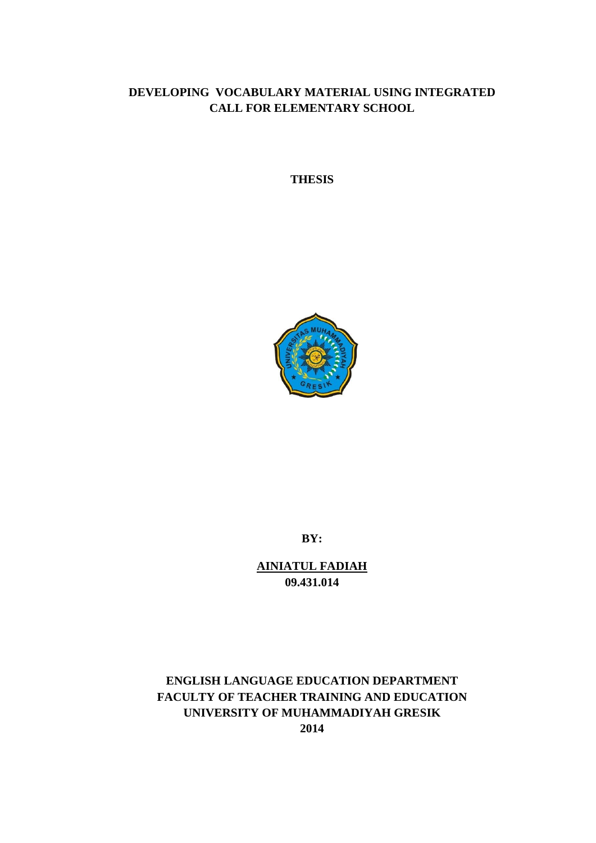# **DEVELOPING VOCABULARY MATERIAL USING INTEGRATED CALL FOR ELEMENTARY SCHOOL**

**THESIS**



**BY:**

**AINIATUL FADIAH 09.431.014**

# **ENGLISH LANGUAGE EDUCATION DEPARTMENT FACULTY OF TEACHER TRAINING AND EDUCATION UNIVERSITY OF MUHAMMADIYAH GRESIK 2014**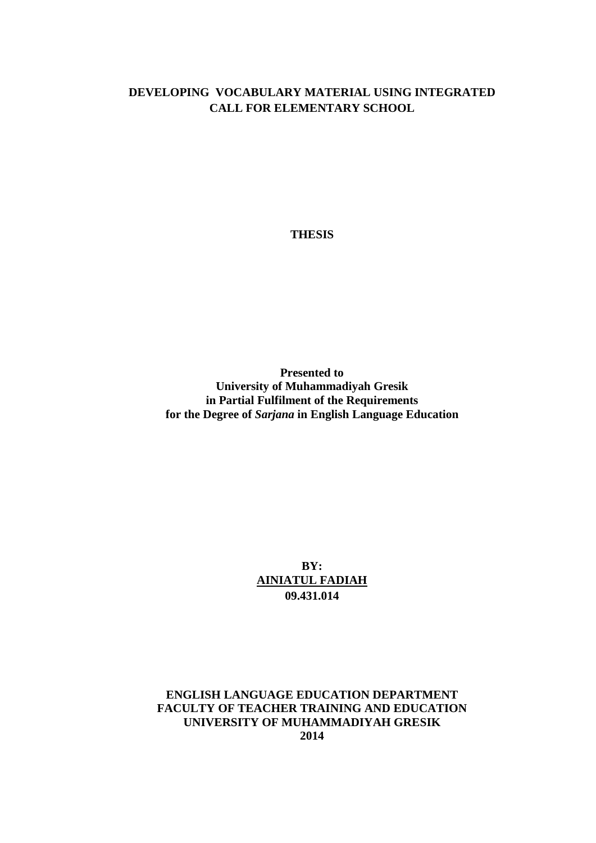# **DEVELOPING VOCABULARY MATERIAL USING INTEGRATED CALL FOR ELEMENTARY SCHOOL**

**THESIS**

**Presented to University of Muhammadiyah Gresik in Partial Fulfilment of the Requirements for the Degree of** *Sarjana* **in English Language Education**

> **BY: AINIATUL FADIAH 09.431.014**

**ENGLISH LANGUAGE EDUCATION DEPARTMENT FACULTY OF TEACHER TRAINING AND EDUCATION UNIVERSITY OF MUHAMMADIYAH GRESIK 2014**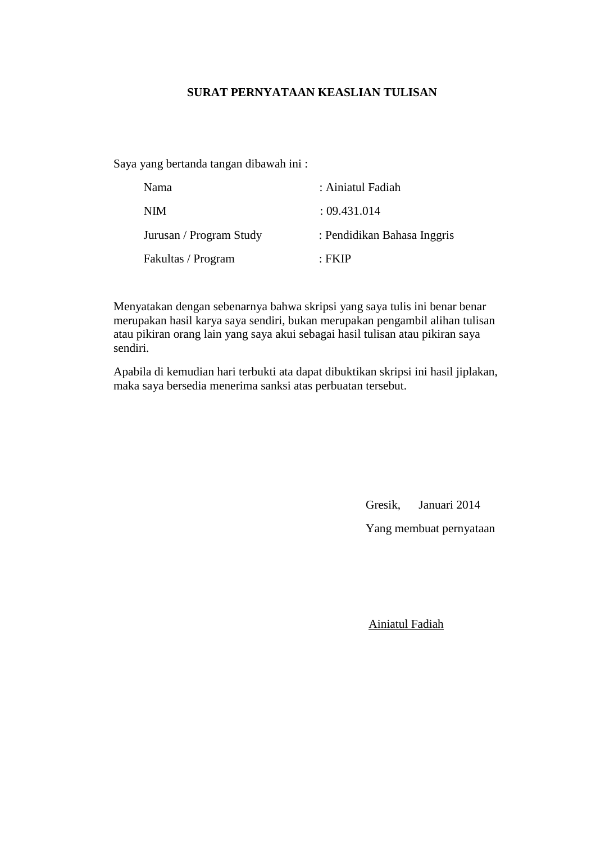## **SURAT PERNYATAAN KEASLIAN TULISAN**

Saya yang bertanda tangan dibawah ini :

| <b>Nama</b>             | : Ainiatul Fadiah           |
|-------------------------|-----------------------------|
| <b>NIM</b>              | : 09.431.014                |
| Jurusan / Program Study | : Pendidikan Bahasa Inggris |
| Fakultas / Program      | · FK IP                     |

Menyatakan dengan sebenarnya bahwa skripsi yang saya tulis ini benar benar merupakan hasil karya saya sendiri, bukan merupakan pengambil alihan tulisan atau pikiran orang lain yang saya akui sebagai hasil tulisan atau pikiran saya sendiri.

Apabila di kemudian hari terbukti ata dapat dibuktikan skripsi ini hasil jiplakan, maka saya bersedia menerima sanksi atas perbuatan tersebut.

Gresik, Januari 2014

Yang membuat pernyataan

Ainiatul Fadiah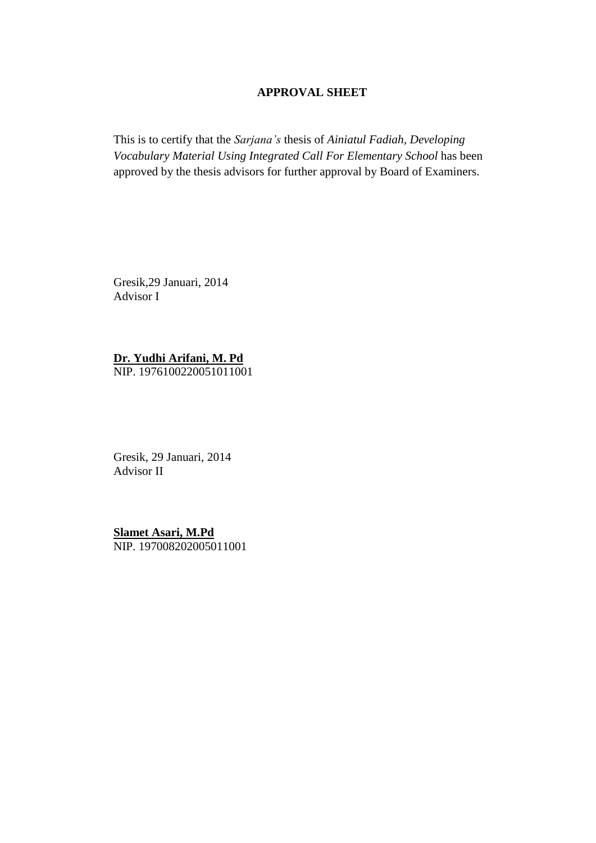## **APPROVAL SHEET**

This is to certify that the *Sarjana's* thesis of *Ainiatul Fadiah, Developing Vocabulary Material Using Integrated Call For Elementary School* has been approved by the thesis advisors for further approval by Board of Examiners.

Gresik,29 Januari, 2014 Advisor I

**Dr. Yudhi Arifani, M. Pd**

NIP. 1976100220051011001

Gresik, 29 Januari, 2014 Advisor II

**Slamet Asari, M.Pd** NIP. 197008202005011001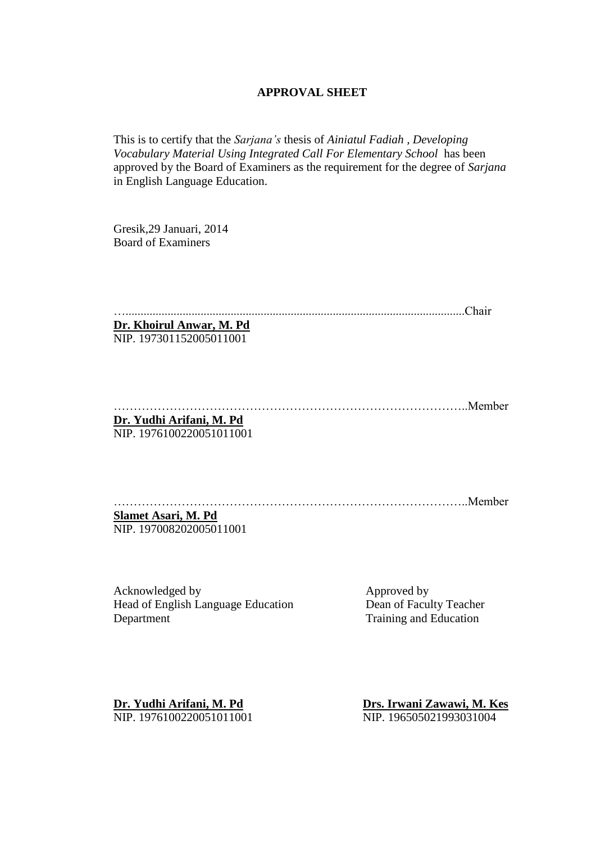#### **APPROVAL SHEET**

This is to certify that the *Sarjana's* thesis of *Ainiatul Fadiah , Developing Vocabulary Material Using Integrated Call For Elementary School* has been approved by the Board of Examiners as the requirement for the degree of *Sarjana* in English Language Education.

Gresik,29 Januari, 2014 Board of Examiners

….................................................................................................................Chair

**Dr. Khoirul Anwar, M. Pd** NIP. 197301152005011001

……………………………………………………………………………..Member **Dr. Yudhi Arifani, M. Pd**

NIP. 1976100220051011001

……………………………………………………………………………..Member

**Slamet Asari, M. Pd** NIP. 197008202005011001

Acknowledged by Approved by Approved by Head of English Language Education Dean of Faculty Teacher Department Training and Education

**Dr. Yudhi Arifani, M. Pd Drs. Irwani Zawawi, M. Kes** NIP. 1976100220051011001 NIP. 196505021993031004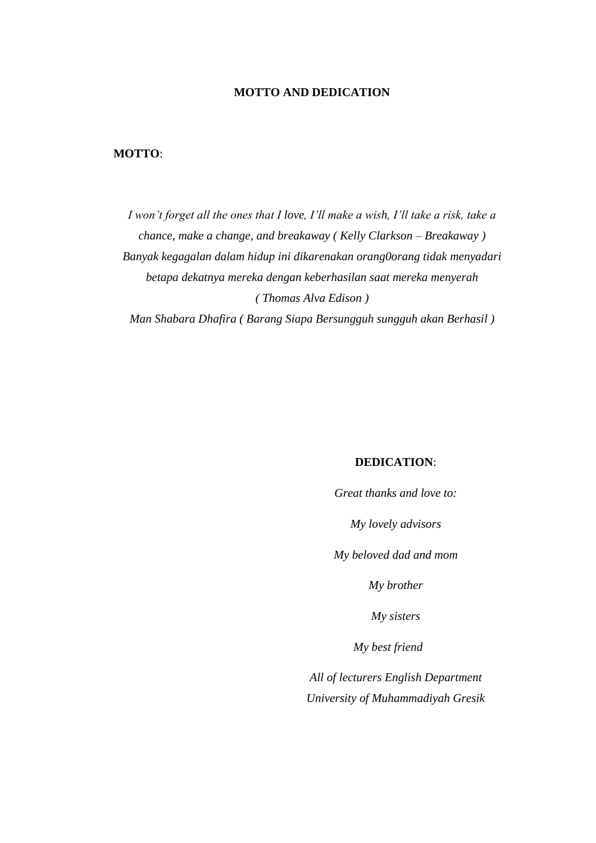## **MOTTO AND DEDICATION**

## **MOTTO**:

*I won't forget all the ones that I love, I'll make a wish, I'll take a risk, take a chance, make a change, and breakaway ( Kelly Clarkson – Breakaway ) Banyak kegagalan dalam hidup ini dikarenakan orang0orang tidak menyadari betapa dekatnya mereka dengan keberhasilan saat mereka menyerah ( Thomas Alva Edison )* 

*Man Shabara Dhafira ( Barang Siapa Bersungguh sungguh akan Berhasil )* 

#### **DEDICATION**:

*Great thanks and love to:*

*My lovely advisors* 

*My beloved dad and mom*

*My brother*

*My sisters* 

*My best friend* 

*All of lecturers English Department University of Muhammadiyah Gresik*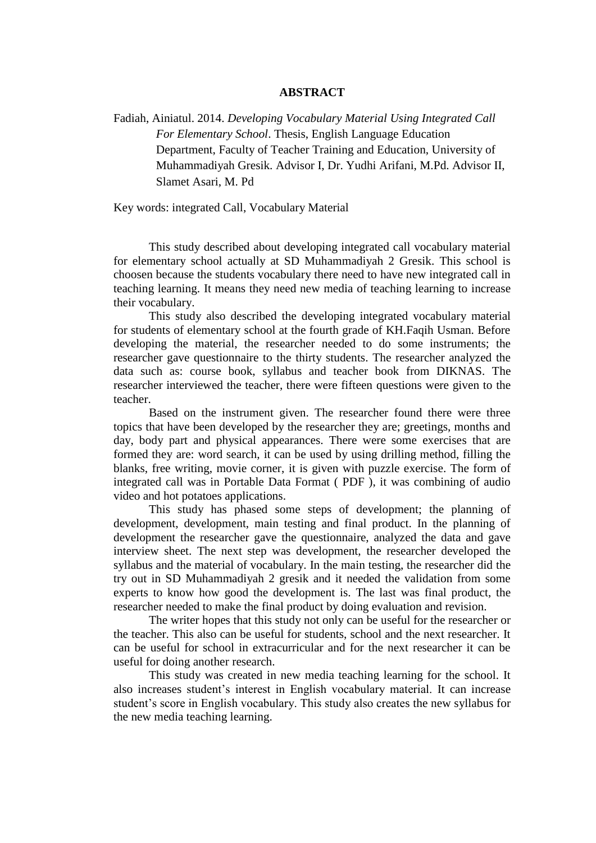#### **ABSTRACT**

Fadiah, Ainiatul. 2014. *Developing Vocabulary Material Using Integrated Call For Elementary School*. Thesis, English Language Education Department, Faculty of Teacher Training and Education, University of Muhammadiyah Gresik. Advisor I, Dr. Yudhi Arifani, M.Pd. Advisor II, Slamet Asari, M. Pd

Key words: integrated Call, Vocabulary Material

This study described about developing integrated call vocabulary material for elementary school actually at SD Muhammadiyah 2 Gresik. This school is choosen because the students vocabulary there need to have new integrated call in teaching learning. It means they need new media of teaching learning to increase their vocabulary.

This study also described the developing integrated vocabulary material for students of elementary school at the fourth grade of KH.Faqih Usman. Before developing the material, the researcher needed to do some instruments; the researcher gave questionnaire to the thirty students. The researcher analyzed the data such as: course book, syllabus and teacher book from DIKNAS. The researcher interviewed the teacher, there were fifteen questions were given to the teacher.

Based on the instrument given. The researcher found there were three topics that have been developed by the researcher they are; greetings, months and day, body part and physical appearances. There were some exercises that are formed they are: word search, it can be used by using drilling method, filling the blanks, free writing, movie corner, it is given with puzzle exercise. The form of integrated call was in Portable Data Format ( PDF ), it was combining of audio video and hot potatoes applications.

This study has phased some steps of development; the planning of development, development, main testing and final product. In the planning of development the researcher gave the questionnaire, analyzed the data and gave interview sheet. The next step was development, the researcher developed the syllabus and the material of vocabulary. In the main testing, the researcher did the try out in SD Muhammadiyah 2 gresik and it needed the validation from some experts to know how good the development is. The last was final product, the researcher needed to make the final product by doing evaluation and revision.

The writer hopes that this study not only can be useful for the researcher or the teacher. This also can be useful for students, school and the next researcher. It can be useful for school in extracurricular and for the next researcher it can be useful for doing another research.

This study was created in new media teaching learning for the school. It also increases student's interest in English vocabulary material. It can increase student's score in English vocabulary. This study also creates the new syllabus for the new media teaching learning.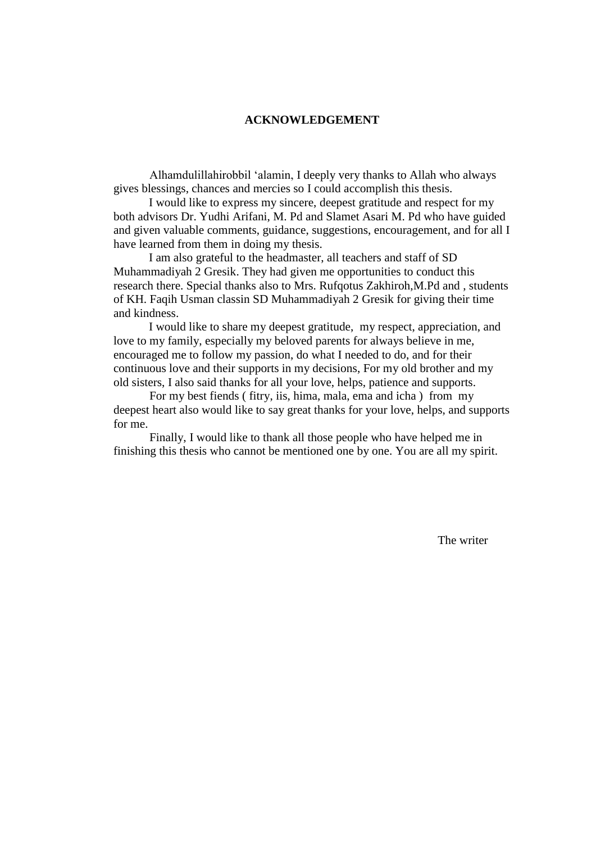#### **ACKNOWLEDGEMENT**

Alhamdulillahirobbil 'alamin, I deeply very thanks to Allah who always gives blessings, chances and mercies so I could accomplish this thesis.

I would like to express my sincere, deepest gratitude and respect for my both advisors Dr. Yudhi Arifani, M. Pd and Slamet Asari M. Pd who have guided and given valuable comments, guidance, suggestions, encouragement, and for all I have learned from them in doing my thesis.

I am also grateful to the headmaster, all teachers and staff of SD Muhammadiyah 2 Gresik. They had given me opportunities to conduct this research there. Special thanks also to Mrs. Rufqotus Zakhiroh,M.Pd and , students of KH. Faqih Usman classin SD Muhammadiyah 2 Gresik for giving their time and kindness.

I would like to share my deepest gratitude, my respect, appreciation, and love to my family, especially my beloved parents for always believe in me, encouraged me to follow my passion, do what I needed to do, and for their continuous love and their supports in my decisions, For my old brother and my old sisters, I also said thanks for all your love, helps, patience and supports.

For my best fiends ( fitry, iis, hima, mala, ema and icha ) from my deepest heart also would like to say great thanks for your love, helps, and supports for me.

Finally, I would like to thank all those people who have helped me in finishing this thesis who cannot be mentioned one by one. You are all my spirit.

The writer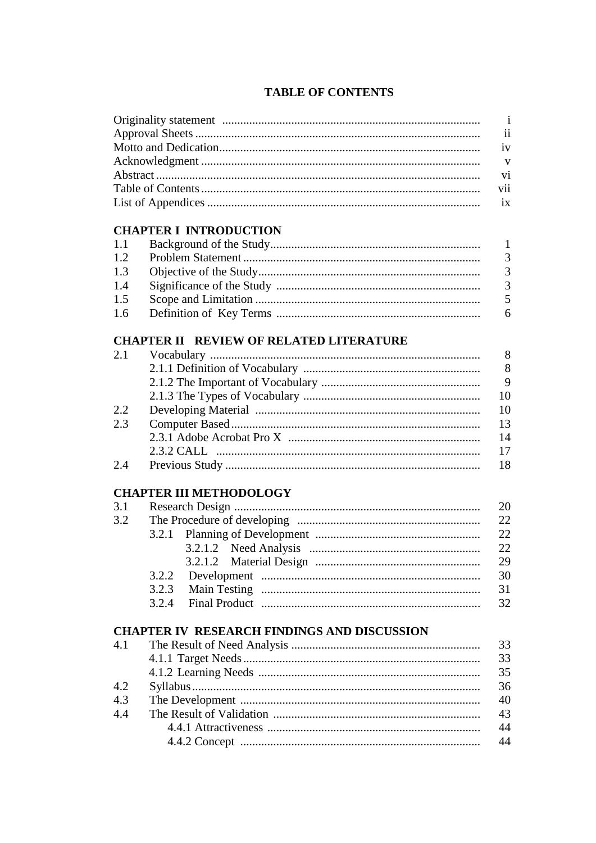|  |  |  | <b>TABLE OF CONTENTS</b> |
|--|--|--|--------------------------|
|--|--|--|--------------------------|

|     |                                                    | $\mathbf{i}$             |
|-----|----------------------------------------------------|--------------------------|
|     |                                                    | $\overline{\mathbf{ii}}$ |
|     |                                                    | iv                       |
|     |                                                    | V                        |
|     |                                                    | V <sub>i</sub>           |
|     |                                                    | vii                      |
|     |                                                    | ix                       |
|     | <b>CHAPTER I INTRODUCTION</b>                      |                          |
| 1.1 |                                                    | 1                        |
| 1.2 |                                                    | 3                        |
| 1.3 |                                                    | 3                        |
| 1.4 |                                                    | $\overline{3}$           |
| 1.5 |                                                    | 5                        |
| 1.6 |                                                    | 6                        |
|     | <b>CHAPTER II REVIEW OF RELATED LITERATURE</b>     |                          |
| 2.1 |                                                    | 8                        |
|     |                                                    | 8                        |
|     |                                                    | 9                        |
|     |                                                    | 10                       |
| 2.2 |                                                    | 10                       |
| 2.3 |                                                    | 13                       |
|     |                                                    | 14                       |
|     |                                                    | 17                       |
| 2.4 |                                                    | 18                       |
|     | <b>CHAPTER III METHODOLOGY</b>                     |                          |
| 3.1 |                                                    | 20                       |
| 3.2 | The Procedure of developing                        | 22                       |
|     |                                                    | 22                       |
|     |                                                    | 22                       |
|     | 3.2.1.2                                            | 29                       |
|     | 3.2.2                                              | 30                       |
|     | 3.2.3                                              | 31                       |
|     | 3.2.4                                              | 32                       |
|     | <b>CHAPTER IV RESEARCH FINDINGS AND DISCUSSION</b> |                          |
|     |                                                    | 33                       |
|     |                                                    | 33                       |
| 4.1 |                                                    | 35                       |
|     |                                                    |                          |
|     |                                                    |                          |
| 4.2 |                                                    | 36                       |
| 4.3 |                                                    | 40                       |
| 4.4 |                                                    | 43<br>44                 |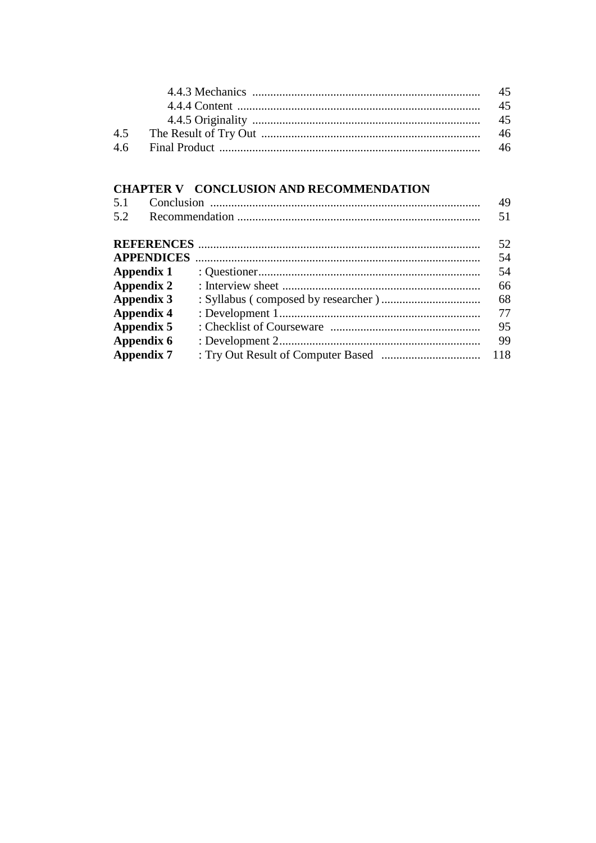# CHAPTER V CONCLUSION AND RECOMMENDATION

| 5.1 |                   | 49  |
|-----|-------------------|-----|
| 5.2 |                   | 51  |
|     |                   | 52  |
|     |                   | 54  |
|     | Appendix 1        | 54  |
|     | Appendix 2        | 66  |
|     | Appendix 3        | 68  |
|     | <b>Appendix 4</b> | 77  |
|     | Appendix 5        | 95  |
|     | Appendix 6        | 99  |
|     | <b>Appendix 7</b> | 118 |
|     |                   |     |